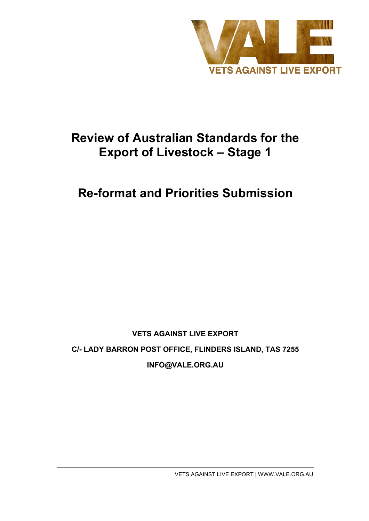

# **Review of Australian Standards for the Export of Livestock – Stage 1**

# **Re-format and Priorities Submission**

# **VETS AGAINST LIVE EXPORT C/- LADY BARRON POST OFFICE, FLINDERS ISLAND, TAS 7255 INFO@VALE.ORG.AU**

VETS AGAINST LIVE EXPORT | WWW.VALE.ORG.AU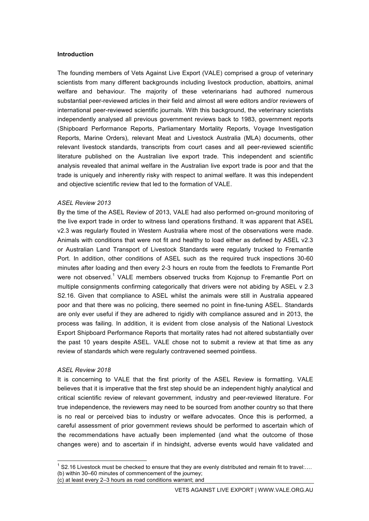#### **Introduction**

The founding members of Vets Against Live Export (VALE) comprised a group of veterinary scientists from many different backgrounds including livestock production, abattoirs, animal welfare and behaviour. The majority of these veterinarians had authored numerous substantial peer-reviewed articles in their field and almost all were editors and/or reviewers of international peer-reviewed scientific journals. With this background, the veterinary scientists independently analysed all previous government reviews back to 1983, government reports (Shipboard Performance Reports, Parliamentary Mortality Reports, Voyage Investigation Reports, Marine Orders), relevant Meat and Livestock Australia (MLA) documents, other relevant livestock standards, transcripts from court cases and all peer-reviewed scientific literature published on the Australian live export trade. This independent and scientific analysis revealed that animal welfare in the Australian live export trade is poor and that the trade is uniquely and inherently risky with respect to animal welfare. It was this independent and objective scientific review that led to the formation of VALE.

#### *ASEL Review 2013*

By the time of the ASEL Review of 2013, VALE had also performed on-ground monitoring of the live export trade in order to witness land operations firsthand. It was apparent that ASEL v2.3 was regularly flouted in Western Australia where most of the observations were made. Animals with conditions that were not fit and healthy to load either as defined by ASEL v2.3 or Australian Land Transport of Livestock Standards were regularly trucked to Fremantle Port. In addition, other conditions of ASEL such as the required truck inspections 30-60 minutes after loading and then every 2-3 hours en route from the feedlots to Fremantle Port were not observed.<sup>1</sup> VALE members observed trucks from Kojonup to Fremantle Port on multiple consignments confirming categorically that drivers were not abiding by ASEL v 2.3 S2.16. Given that compliance to ASEL whilst the animals were still in Australia appeared poor and that there was no policing, there seemed no point in fine-tuning ASEL. Standards are only ever useful if they are adhered to rigidly with compliance assured and in 2013, the process was failing. In addition, it is evident from close analysis of the National Livestock Export Shipboard Performance Reports that mortality rates had not altered substantially over the past 10 years despite ASEL. VALE chose not to submit a review at that time as any review of standards which were regularly contravened seemed pointless.

#### *ASEL Review 2018*

It is concerning to VALE that the first priority of the ASEL Review is formatting. VALE believes that it is imperative that the first step should be an independent highly analytical and critical scientific review of relevant government, industry and peer-reviewed literature. For true independence, the reviewers may need to be sourced from another country so that there is no real or perceived bias to industry or welfare advocates. Once this is performed, a careful assessment of prior government reviews should be performed to ascertain which of the recommendations have actually been implemented (and what the outcome of those changes were) and to ascertain if in hindsight, adverse events would have validated and

 $1$  S2.16 Livestock must be checked to ensure that they are evenly distributed and remain fit to travel:.... (b) within 30–60 minutes of commencement of the journey;

<sup>(</sup>c) at least every 2–3 hours as road conditions warrant; and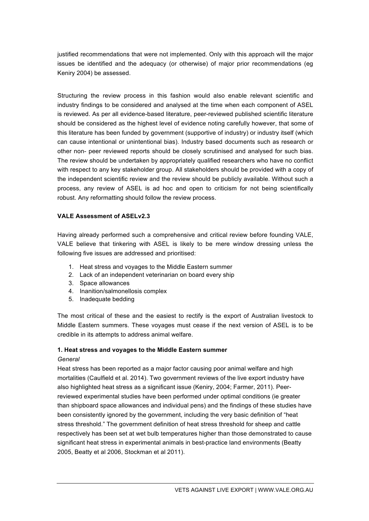justified recommendations that were not implemented. Only with this approach will the major issues be identified and the adequacy (or otherwise) of major prior recommendations (eg Keniry 2004) be assessed.

Structuring the review process in this fashion would also enable relevant scientific and industry findings to be considered and analysed at the time when each component of ASEL is reviewed. As per all evidence-based literature, peer-reviewed published scientific literature should be considered as the highest level of evidence noting carefully however, that some of this literature has been funded by government (supportive of industry) or industry itself (which can cause intentional or unintentional bias). Industry based documents such as research or other non- peer reviewed reports should be closely scrutinised and analysed for such bias. The review should be undertaken by appropriately qualified researchers who have no conflict with respect to any key stakeholder group. All stakeholders should be provided with a copy of the independent scientific review and the review should be publicly available. Without such a process, any review of ASEL is ad hoc and open to criticism for not being scientifically robust. Any reformatting should follow the review process.

# **VALE Assessment of ASELv2.3**

Having already performed such a comprehensive and critical review before founding VALE, VALE believe that tinkering with ASEL is likely to be mere window dressing unless the following five issues are addressed and prioritised:

- 1. Heat stress and voyages to the Middle Eastern summer
- 2. Lack of an independent veterinarian on board every ship
- 3. Space allowances
- 4. Inanition/salmonellosis complex
- 5. Inadequate bedding

The most critical of these and the easiest to rectify is the export of Australian livestock to Middle Eastern summers. These voyages must cease if the next version of ASEL is to be credible in its attempts to address animal welfare.

#### **1. Heat stress and voyages to the Middle Eastern summer**

#### *General*

Heat stress has been reported as a major factor causing poor animal welfare and high mortalities (Caulfield et al. 2014). Two government reviews of the live export industry have also highlighted heat stress as a significant issue (Keniry, 2004; Farmer, 2011). Peerreviewed experimental studies have been performed under optimal conditions (ie greater than shipboard space allowances and individual pens) and the findings of these studies have been consistently ignored by the government, including the very basic definition of "heat stress threshold." The government definition of heat stress threshold for sheep and cattle respectively has been set at wet bulb temperatures higher than those demonstrated to cause significant heat stress in experimental animals in best-practice land environments (Beatty 2005, Beatty et al 2006, Stockman et al 2011).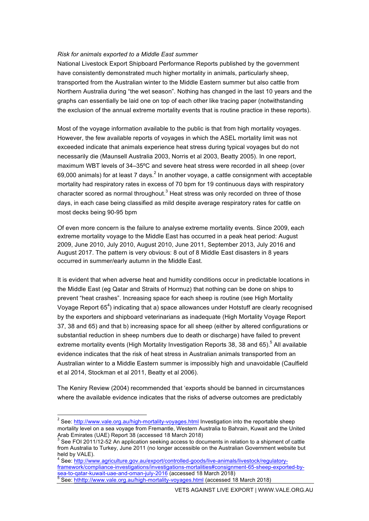#### *Risk for animals exported to a Middle East summer*

National Livestock Export Shipboard Performance Reports published by the government have consistently demonstrated much higher mortality in animals, particularly sheep, transported from the Australian winter to the Middle Eastern summer but also cattle from Northern Australia during "the wet season". Nothing has changed in the last 10 years and the graphs can essentially be laid one on top of each other like tracing paper (notwithstanding the exclusion of the annual extreme mortality events that is routine practice in these reports).

Most of the voyage information available to the public is that from high mortality voyages. However, the few available reports of voyages in which the ASEL mortality limit was not exceeded indicate that animals experience heat stress during typical voyages but do not necessarily die (Maunsell Australia 2003, Norris et al 2003, Beatty 2005). In one report, maximum WBT levels of 34–35ºC and severe heat stress were recorded in all sheep (over 69,000 animals) for at least 7 days. $^2$  In another voyage, a cattle consignment with acceptable mortality had respiratory rates in excess of 70 bpm for 19 continuous days with respiratory character scored as normal throughout. $3$  Heat stress was only recorded on three of those days, in each case being classified as mild despite average respiratory rates for cattle on most decks being 90-95 bpm

Of even more concern is the failure to analyse extreme mortality events. Since 2009, each extreme mortality voyage to the Middle East has occurred in a peak heat period: August 2009, June 2010, July 2010, August 2010, June 2011, September 2013, July 2016 and August 2017. The pattern is very obvious: 8 out of 8 Middle East disasters in 8 years occurred in summer/early autumn in the Middle East.

It is evident that when adverse heat and humidity conditions occur in predictable locations in the Middle East (eg Qatar and Straits of Hormuz) that nothing can be done on ships to prevent "heat crashes". Increasing space for each sheep is routine (see High Mortality Voyage Report 65<sup>4</sup>) indicating that a) space allowances under Hotstuff are clearly recognised by the exporters and shipboard veterinarians as inadequate (High Mortality Voyage Report 37, 38 and 65) and that b) increasing space for all sheep (either by altered configurations or substantial reduction in sheep numbers due to death or discharge) have failed to prevent extreme mortality events (High Mortality Investigation Reports 38, 38 and 65).<sup>5</sup> All available evidence indicates that the risk of heat stress in Australian animals transported from an Australian winter to a Middle Eastern summer is impossibly high and unavoidable (Caulfield et al 2014, Stockman et al 2011, Beatty et al 2006).

The Keniry Review (2004) recommended that 'exports should be banned in circumstances where the available evidence indicates that the risks of adverse outcomes are predictably

<sup>&</sup>lt;sup>2</sup> See: http://www.vale.org.au/high-mortality-voyages.html Investigation into the reportable sheep mortality level on a sea voyage from Fremantle, Western Australia to Bahrain, Kuwait and the United<br>Arab Emirates (UAE) Report 38 (accessed 18 March 2018)<br>
<sup>3</sup> See FOL3044/43 53 Arab

See FOI 2011/12-52 An application seeking access to documents in relation to a shipment of cattle from Australia to Turkey, June 2011 (no longer accessible on the Australian Government website but held by VALE).

<sup>4</sup> See: http://www.agriculture.gov.au/export/controlled-goods/live-animals/livestock/regulatoryframework/compliance-investigations/investigations-mortalities#consignment-65-sheep-exported-bysea-to-qatar-kuwait-uae-and-oman-july-2016 (accessed 18 March 2018)<br>
<sup>5</sup> See: hthttp://www.vale.org.au/high-mortality-voyages.html (accessed 18 March 2018)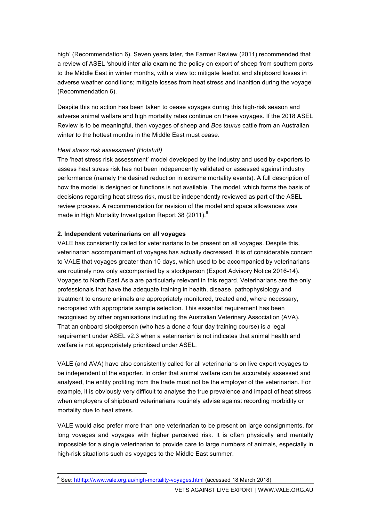high' (Recommendation 6). Seven years later, the Farmer Review (2011) recommended that a review of ASEL 'should inter alia examine the policy on export of sheep from southern ports to the Middle East in winter months, with a view to: mitigate feedlot and shipboard losses in adverse weather conditions; mitigate losses from heat stress and inanition during the voyage' (Recommendation 6).

Despite this no action has been taken to cease voyages during this high-risk season and adverse animal welfare and high mortality rates continue on these voyages. If the 2018 ASEL Review is to be meaningful, then voyages of sheep and *Bos taurus* cattle from an Australian winter to the hottest months in the Middle East must cease.

#### *Heat stress risk assessment (Hotstuff)*

The 'heat stress risk assessment' model developed by the industry and used by exporters to assess heat stress risk has not been independently validated or assessed against industry performance (namely the desired reduction in extreme mortality events). A full description of how the model is designed or functions is not available. The model, which forms the basis of decisions regarding heat stress risk, must be independently reviewed as part of the ASEL review process. A recommendation for revision of the model and space allowances was made in High Mortality Investigation Report 38 (2011).<sup>6</sup>

# **2. Independent veterinarians on all voyages**

VALE has consistently called for veterinarians to be present on all voyages. Despite this, veterinarian accompaniment of voyages has actually decreased. It is of considerable concern to VALE that voyages greater than 10 days, which used to be accompanied by veterinarians are routinely now only accompanied by a stockperson (Export Advisory Notice 2016-14). Voyages to North East Asia are particularly relevant in this regard. Veterinarians are the only professionals that have the adequate training in health, disease, pathophysiology and treatment to ensure animals are appropriately monitored, treated and, where necessary, necropsied with appropriate sample selection. This essential requirement has been recognised by other organisations including the Australian Veterinary Association (AVA). That an onboard stockperson (who has a done a four day training course) is a legal requirement under ASEL v2.3 when a veterinarian is not indicates that animal health and welfare is not appropriately prioritised under ASEL.

VALE (and AVA) have also consistently called for all veterinarians on live export voyages to be independent of the exporter. In order that animal welfare can be accurately assessed and analysed, the entity profiting from the trade must not be the employer of the veterinarian. For example, it is obviously very difficult to analyse the true prevalence and impact of heat stress when employers of shipboard veterinarians routinely advise against recording morbidity or mortality due to heat stress.

VALE would also prefer more than one veterinarian to be present on large consignments, for long voyages and voyages with higher perceived risk. It is often physically and mentally impossible for a single veterinarian to provide care to large numbers of animals, especially in high-risk situations such as voyages to the Middle East summer.

 <sup>6</sup> See: hthttp://www.vale.org.au/high-mortality-voyages.html (accessed 18 March 2018)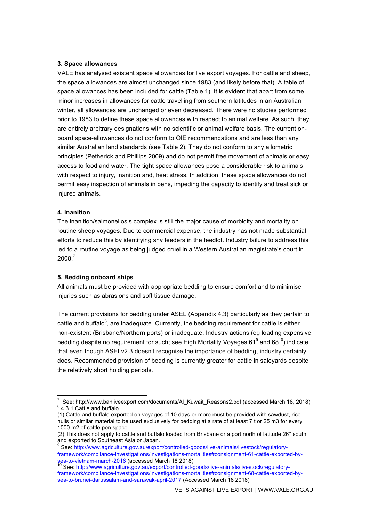#### **3. Space allowances**

VALE has analysed existent space allowances for live export voyages. For cattle and sheep, the space allowances are almost unchanged since 1983 (and likely before that). A table of space allowances has been included for cattle (Table 1). It is evident that apart from some minor increases in allowances for cattle travelling from southern latitudes in an Australian winter, all allowances are unchanged or even decreased. There were no studies performed prior to 1983 to define these space allowances with respect to animal welfare. As such, they are entirely arbitrary designations with no scientific or animal welfare basis. The current onboard space-allowances do not conform to OIE recommendations and are less than any similar Australian land standards (see Table 2). They do not conform to any allometric principles (Petherick and Phillips 2009) and do not permit free movement of animals or easy access to food and water. The tight space allowances pose a considerable risk to animals with respect to injury, inanition and, heat stress. In addition, these space allowances do not permit easy inspection of animals in pens, impeding the capacity to identify and treat sick or injured animals.

#### **4. Inanition**

The inanition/salmonellosis complex is still the major cause of morbidity and mortality on routine sheep voyages. Due to commercial expense, the industry has not made substantial efforts to reduce this by identifying shy feeders in the feedlot. Industry failure to address this led to a routine voyage as being judged cruel in a Western Australian magistrate's court in 2008. 7

#### **5. Bedding onboard ships**

All animals must be provided with appropriate bedding to ensure comfort and to minimise injuries such as abrasions and soft tissue damage.

The current provisions for bedding under ASEL (Appendix 4.3) particularly as they pertain to cattle and buffalo $^8$ , are inadequate. Currently, the bedding requirement for cattle is either non-existent (Brisbane/Northern ports) or inadequate. Industry actions (eg loading expensive bedding despite no requirement for such; see High Mortality Voyages  $61^9$  and  $68^{10}$ ) indicate that even though ASELv2.3 doesn't recognise the importance of bedding, industry certainly does. Recommended provision of bedding is currently greater for cattle in saleyards despite the relatively short holding periods.

 $\frac{1}{7}$  $\frac{7}{8}$  See: http://www.banliveexport.com/documents/Al\_Kuwait\_Reasons2.pdf (accessed March 18, 2018)  $\frac{8}{4}$ .3.1 Cattle and buffalo

<sup>(1)</sup> Cattle and buffalo exported on voyages of 10 days or more must be provided with sawdust, rice hulls or similar material to be used exclusively for bedding at a rate of at least 7 t or 25 m3 for every 1000 m2 of cattle pen space.

<sup>(2)</sup> This does not apply to cattle and buffalo loaded from Brisbane or a port north of latitude 26° south and exported to Southeast Asia or Japan.

<sup>9</sup> See: http://www.agriculture.gov.au/export/controlled-goods/live-animals/livestock/regulatoryframework/compliance-investigations/investigations-mortalities#consignment-61-cattle-exported-bysea-to-vietnam-march-2016 (accessed March 18 2018)<br><sup>10</sup> See: http://www.agriculture.gov.au/export/controlled-goods/live-animals/livestock/regulatory-

framework/compliance-investigations/investigations-mortalities#consignment-68-cattle-exported-bysea-to-brunei-darussalam-and-sarawak-april-2017 (Accessed March 18 2018)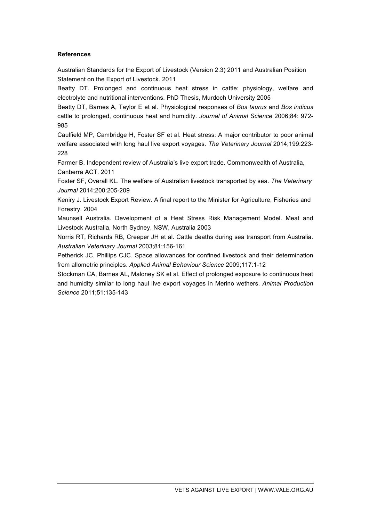# **References**

Australian Standards for the Export of Livestock (Version 2.3) 2011 and Australian Position Statement on the Export of Livestock. 2011

Beatty DT. Prolonged and continuous heat stress in cattle: physiology, welfare and electrolyte and nutritional interventions. PhD Thesis, Murdoch University 2005

Beatty DT, Barnes A, Taylor E et al. Physiological responses of *Bos taurus* and *Bos indicus* cattle to prolonged, continuous heat and humidity. *Journal of Animal Science* 2006;84: 972- 985

Caulfield MP, Cambridge H, Foster SF et al. Heat stress: A major contributor to poor animal welfare associated with long haul live export voyages. *The Veterinary Journal* 2014;199:223- 228

Farmer B. Independent review of Australia's live export trade. Commonwealth of Australia, Canberra ACT. 2011

Foster SF, Overall KL. The welfare of Australian livestock transported by sea. *The Veterinary Journal* 2014;200:205-209

Keniry J. Livestock Export Review. A final report to the Minister for Agriculture, Fisheries and Forestry. 2004

Maunsell Australia. Development of a Heat Stress Risk Management Model. Meat and Livestock Australia, North Sydney, NSW, Australia 2003

Norris RT, Richards RB, Creeper JH et al. Cattle deaths during sea transport from Australia. *Australian Veterinary Journal* 2003;81:156-161

Petherick JC, Phillips CJC. Space allowances for confined livestock and their determination from allometric principles. *Applied Animal Behaviour Science* 2009;117:1-12

Stockman CA, Barnes AL, Maloney SK et al. Effect of prolonged exposure to continuous heat and humidity similar to long haul live export voyages in Merino wethers. *Animal Production Science* 2011;51:135-143